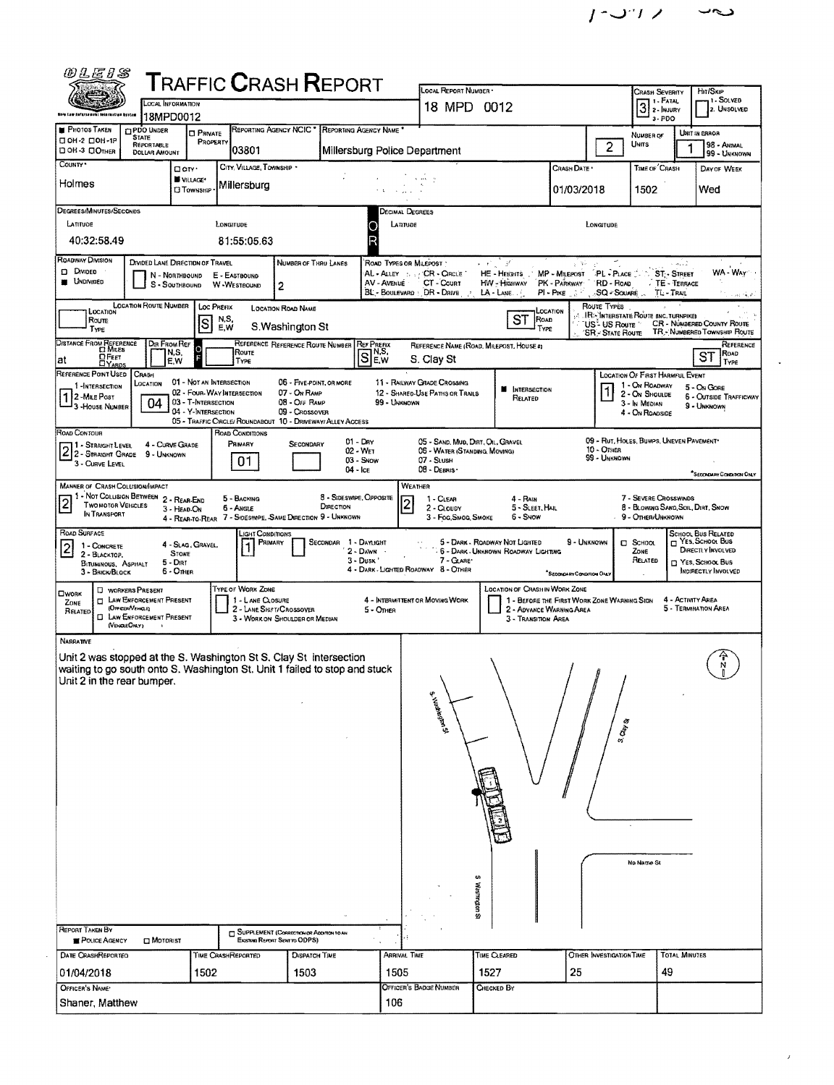| <i>@LE1S</i>                                                                                                                                                                                                                                                                          |                                               |                                                                            |                                                   |                           |                                       | <b>TRAFFIC CRASH REPORT</b>                                                      |                                      |                                                        |                                                                    |                      |                                                                       |                                             |                                                          | CRASH SEVERITY                                              |                                             |                                              |  |
|---------------------------------------------------------------------------------------------------------------------------------------------------------------------------------------------------------------------------------------------------------------------------------------|-----------------------------------------------|----------------------------------------------------------------------------|---------------------------------------------------|---------------------------|---------------------------------------|----------------------------------------------------------------------------------|--------------------------------------|--------------------------------------------------------|--------------------------------------------------------------------|----------------------|-----------------------------------------------------------------------|---------------------------------------------|----------------------------------------------------------|-------------------------------------------------------------|---------------------------------------------|----------------------------------------------|--|
| LOCAL INFORMATION<br>ibia tam fafarsement lotarmatico bestan                                                                                                                                                                                                                          |                                               |                                                                            |                                                   |                           |                                       |                                                                                  |                                      |                                                        | LOCAL REPORT NUMBER -<br>18 MPD 0012                               |                      |                                                                       |                                             |                                                          |                                                             | Hir/SkiP<br><b>1. SOLVED</b><br>2. UNSOLVED |                                              |  |
| <b>PHOTOS TAKEN</b>                                                                                                                                                                                                                                                                   |                                               | 18MPD0012<br><b>O PDO UNDER</b>                                            |                                                   |                           |                                       | <b>REPORTING AGENCY NCIC</b>                                                     |                                      | REPORTING AGENCY NAME                                  |                                                                    |                      |                                                                       |                                             |                                                          | $3$ :- FATAL<br>$3 - PDO$                                   |                                             |                                              |  |
| □ ОН-2 □ ОН-1Р<br>ПОН-3 ПОТНЕР                                                                                                                                                                                                                                                        |                                               | <b>STATE</b><br>REPORTABLE<br><b>DOLLAR AMOUNT</b>                         | <b>CI PRIVATE</b><br>PROPERTY                     |                           | 03801                                 |                                                                                  |                                      |                                                        | Millersburg Police Department                                      |                      |                                                                       |                                             | $\overline{2}$                                           | NUMBER OF<br><b>UNITS</b>                                   |                                             | UNIT IN ERROR<br>98 - ANIMAL                 |  |
| COUNTY <sup>.</sup>                                                                                                                                                                                                                                                                   |                                               |                                                                            | Dow-                                              |                           | CITY, VILLAGE, TOWNSHIP *             |                                                                                  |                                      |                                                        |                                                                    |                      |                                                                       | Crash Date *                                |                                                          | TIME OF CRASH                                               |                                             | 99 - UNKNOWN<br>DAY OF WEEK                  |  |
| Holmes                                                                                                                                                                                                                                                                                |                                               |                                                                            | VILLAGE*<br><b>CI Township</b>                    |                           | Millersburg                           |                                                                                  |                                      |                                                        |                                                                    |                      |                                                                       | 01/03/2018                                  |                                                          | 1502                                                        |                                             | Wed                                          |  |
| DEGREES/MINUTES/SECONDS                                                                                                                                                                                                                                                               |                                               |                                                                            |                                                   |                           |                                       |                                                                                  |                                      |                                                        | <b>DECIMAL DEGREES</b>                                             |                      |                                                                       |                                             |                                                          |                                                             |                                             |                                              |  |
| LATITUDE                                                                                                                                                                                                                                                                              |                                               |                                                                            |                                                   | LONGITUDE                 |                                       |                                                                                  |                                      |                                                        | LATITUDE                                                           |                      |                                                                       |                                             | LONGITUDE                                                |                                                             |                                             |                                              |  |
| 40:32:58.49                                                                                                                                                                                                                                                                           |                                               |                                                                            |                                                   |                           | 81:55:05.63                           |                                                                                  |                                      | R                                                      |                                                                    |                      |                                                                       |                                             |                                                          |                                                             |                                             |                                              |  |
| <b>ROADWAY DIVISION</b><br>$D$ Divideo                                                                                                                                                                                                                                                |                                               | DIVIDED LANE DIRECTION OF TRAVEL<br>N - NORTHBOUND                         |                                                   | E - EASTBOUND             |                                       | <b>NUMBER OF THRU LANES</b>                                                      |                                      |                                                        | ROAD TYPES OR MILEPOST<br>AL - ALLEY : : : / CR - CIRCLE           | e at                 | -31<br>HE - HEIGHTS                                                   | MP - MILEPOST                               | PL - PLACE                                               |                                                             | دبية<br><b>ST</b> STREET                    | WA - WAY                                     |  |
| <b>UNDIVIDED</b><br>CT - Count<br>HW - HIGHWAY<br>PK - PARKWAY<br>RD - ROAD<br>AV - AVENUE<br>TE - TERRACE<br>s<br>- SOUTHBOUND W-WESTBOUND<br>$\mathbf{2}$<br>BL - BOULEVARD : DR - DRIVE<br>$LA$ - $L$ ANE<br>PI-PIKE 3 <sup>5</sup><br>SQ - SOUARE<br>TL-TRAIL<br>- 2<br>and the a |                                               |                                                                            |                                                   |                           |                                       |                                                                                  |                                      |                                                        |                                                                    |                      |                                                                       |                                             |                                                          |                                                             |                                             |                                              |  |
| <b>LOCATION ROUTE NUMBER</b><br>LOC PREFIX<br>ROUTE TYPES<br><b>LOCATION ROAD NAME</b><br>LOCATION<br>LOCATION<br>IR :- INTERSTATE ROUTE (INC. TURNPIKE)<br>ST<br>N,S,<br>ROAD<br>Route<br>CR - NÚMBERED COUNTY ROUTE                                                                 |                                               |                                                                            |                                                   |                           |                                       |                                                                                  |                                      |                                                        |                                                                    |                      |                                                                       |                                             |                                                          |                                                             |                                             |                                              |  |
| TYPE                                                                                                                                                                                                                                                                                  |                                               | DIR FROM REF                                                               | S                                                 | E, W                      |                                       | S. Washington St<br>REFERENCE REFERENCE ROUTE NUMBER                             |                                      | <b>REF PREFIX</b>                                      |                                                                    |                      | Type                                                                  |                                             | `US <sup>°</sup> - US Rouτε `<br><b>SR</b> - State Route |                                                             |                                             | TR - NUMBERED TOWNSHIP ROUTE<br>REFERENCE    |  |
| DISTANCE FROM REFERENCE<br>at                                                                                                                                                                                                                                                         | $\Omega$ Feet<br><b>LYARDS</b>                | N,S,<br>E.W                                                                | Ō                                                 |                           | Route<br>TYPE                         |                                                                                  |                                      | $\overline{\mathsf{SI}}^{\text{NS}}_{\text{F}}$<br>E.W | REFERENCE NAME (ROAD, MILEPOST, HOUSE #)<br>S. Clay St             |                      |                                                                       |                                             |                                                          |                                                             |                                             | ROAD<br>ST<br>Type                           |  |
| REFERENCE POINT USED<br>1-INTERSECTION                                                                                                                                                                                                                                                |                                               | CRASH<br>LOCATION                                                          | 01 - Not an Intersection                          |                           |                                       | 06 - FIVE-POINT, OR MORE                                                         |                                      |                                                        | 11 - RAILWAY GRADE CROSSING                                        |                      |                                                                       |                                             |                                                          | <b>LOCATION OF FIRST HARMFUL EVENT</b><br>1 - On ROADWAY    |                                             | $5 - On$ Gore                                |  |
| 12-MILE POST<br><sup>1</sup> 3 - House Number                                                                                                                                                                                                                                         |                                               | 04                                                                         | 02 - FOUR-WAY INTERSECTION<br>03 - T-Intersection |                           |                                       | 07 - On RAMP<br>08 - Off RAMP                                                    |                                      |                                                        | 12 - SHARED-USE PATHS OR TRAILS<br>99 - UNKNOWN                    |                      | <b>N</b> INTERSECTION<br>RELATED                                      |                                             |                                                          | 2 - ON SHOULDE<br>3 - In Median                             |                                             | <b>6 - OUTSIDE TRAFFICWAY</b><br>9 - UNKNOWN |  |
|                                                                                                                                                                                                                                                                                       |                                               |                                                                            | 04 - Y-INTERSECTION                               |                           |                                       | 09 - Crossover<br>05 - TRAFFIC CIRCLE/ ROUNDABOUT 10 - DRIVEWAY/ ALLEY ACCESS    |                                      |                                                        |                                                                    |                      |                                                                       |                                             |                                                          | 4 - ON ROADSIDE                                             |                                             |                                              |  |
| ROAD CONTOUR<br>11 - Stanight Level                                                                                                                                                                                                                                                   |                                               | 4 - CURVE GRADE                                                            |                                                   |                           | ROAD CONDITIONS<br>PRIMARY            | SECONDARY                                                                        |                                      | $01 - \text{Day}$<br>02 - WET                          | 05 - SAND, MUD, DIRT, OIL, GRAVEL<br>06 - WATER (STANDING, MOVING) |                      |                                                                       |                                             | 10 - OTHER                                               | 09 - RUT, HOLES, BUMPS, UNEVEN PAVEMENT*                    |                                             |                                              |  |
| 3 - CURVE LEVEL                                                                                                                                                                                                                                                                       |                                               | 2 2 - STRAIGHT LEVEL 4 - CURVE CH                                          |                                                   |                           | 01                                    |                                                                                  |                                      | 03 - Snow<br>04 - Ice                                  | 07 - SLUSH<br>08 - DEBRIS ·                                        |                      |                                                                       |                                             | 99 - Unknown                                             |                                                             |                                             |                                              |  |
| <b>MANNER OF CRASH COLUSION/IMPACT</b>                                                                                                                                                                                                                                                |                                               |                                                                            |                                                   |                           |                                       |                                                                                  |                                      |                                                        | <b>WEATHER</b>                                                     |                      |                                                                       |                                             |                                                          |                                                             |                                             | "SECONDARY CONDITION ONLY                    |  |
| $\overline{2}$                                                                                                                                                                                                                                                                        | <b>TWOMOTOR VEHICLES</b>                      | 1 - Not Colusion Between 2 - Rear End                                      | 3 - HEAD-ON                                       |                           | 5 - BACKING<br>6 - ANGLE              |                                                                                  | 8 - SIDESWIPE, OPPOSITE<br>DIRECTION |                                                        | 1 - Clear<br>$\overline{c}$<br>2 - CLOUDY                          |                      | $4 - Rank$<br>5 - SLEET, HAIL                                         |                                             |                                                          | 7 - Severe Crosswinds<br>8 - Blowing Sand, Soil, Dirt, Snow |                                             |                                              |  |
| IN TRANSPORT<br>7 - SIDESWIPE, SAME DIRECTION 9 - UNKNOWN<br>3 - Fog, Smog, Smoke<br>6 - Snow<br>9 - Other/Unknown<br>4 - Rear to Rear<br>ROAD SURFACE<br>SCHOOL BUS RELATED<br><b>LIGHT CONDITIONS</b>                                                                               |                                               |                                                                            |                                                   |                           |                                       |                                                                                  |                                      |                                                        |                                                                    |                      |                                                                       |                                             |                                                          |                                                             |                                             |                                              |  |
| 1 - CONCRETE<br>$\overline{2}$<br>2 - BLACKTOP,                                                                                                                                                                                                                                       |                                               | <b>STONE</b>                                                               | 4 - Slag, Gravel,                                 |                           | PRIMARY                               |                                                                                  | SECONDAR 1 - DAYLIGHT                | $2 - D_{ANR}$                                          |                                                                    |                      | 5 - DARK - ROADWAY NOT LIGHTED<br>6 - DARK - URKNOWN ROADWAY LIGHTING | 9 - UNKNOWN                                 |                                                          | $\Box$ School<br>ZONE                                       |                                             | T YES, SCHOOL BUS<br>DIRECTLY INVOLVED       |  |
|                                                                                                                                                                                                                                                                                       | <b>BITUMINOUS, ASPHALT</b><br>3 - BRICK/BLOCK | 5 - Dirt<br>6 - Omer                                                       |                                                   |                           |                                       |                                                                                  |                                      | 3 - Dusk                                               | 7 - GLARE<br>4 - DARK - LIGHTED ROADWAY 8 - OTHER                  |                      |                                                                       | "SECONDARY CONDITION ONLY                   |                                                          | Related                                                     |                                             | T YES, SCHOOL BUS<br>INDIRECTLY INVOLVED     |  |
| OWORK                                                                                                                                                                                                                                                                                 |                                               | <b>U</b> WORKERS PRESENT<br><b>T LAW ENFORCEMENT PRESENT</b>               |                                                   |                           | TYPE OF WORK ZONE<br>1 - LANE CLOSURE |                                                                                  |                                      |                                                        | 4 - INTERMITTENT OR MOVING WORK                                    |                      | LOCATION OF CRASHIN WORK ZONE                                         | 1 - BEFORE THE FIRST WORK ZONE WARNING SIGN |                                                          |                                                             | 4 - Activity Area                           |                                              |  |
| ZONE<br>RELATED                                                                                                                                                                                                                                                                       |                                               | (Officen/Vergus)<br><b>CI LAW ENFORGEMENT PRESENT</b>                      |                                                   |                           |                                       | 2 - LANE SHIFT/CROSSOVER<br>3 - WORK ON SHOULDER OR MEDIAN                       |                                      | 5 - Onier                                              |                                                                    |                      | 3 - TRANSITION AREA                                                   | 2 - ADVANCE WARNING AREA                    |                                                          |                                                             |                                             | 5 - TERMINATION AREA                         |  |
| NARRATIVE                                                                                                                                                                                                                                                                             | (VENDECHAY)                                   |                                                                            |                                                   |                           |                                       |                                                                                  |                                      |                                                        |                                                                    |                      |                                                                       |                                             |                                                          |                                                             |                                             |                                              |  |
|                                                                                                                                                                                                                                                                                       |                                               | Unit 2 was stopped at the S. Washington St S. Clay St intersection         |                                                   |                           |                                       |                                                                                  |                                      |                                                        |                                                                    |                      |                                                                       |                                             |                                                          |                                                             |                                             |                                              |  |
| Unit 2 in the rear bumper.                                                                                                                                                                                                                                                            |                                               | waiting to go south onto S. Washington St. Unit 1 failed to stop and stuck |                                                   |                           |                                       |                                                                                  |                                      |                                                        |                                                                    |                      |                                                                       |                                             |                                                          |                                                             |                                             |                                              |  |
|                                                                                                                                                                                                                                                                                       |                                               |                                                                            |                                                   |                           |                                       |                                                                                  |                                      |                                                        | S. Washington S.                                                   |                      |                                                                       |                                             |                                                          |                                                             |                                             |                                              |  |
|                                                                                                                                                                                                                                                                                       |                                               |                                                                            |                                                   |                           |                                       |                                                                                  |                                      |                                                        |                                                                    |                      |                                                                       |                                             |                                                          |                                                             |                                             |                                              |  |
|                                                                                                                                                                                                                                                                                       |                                               |                                                                            |                                                   |                           |                                       |                                                                                  |                                      |                                                        |                                                                    |                      |                                                                       |                                             | S Cay S                                                  |                                                             |                                             |                                              |  |
|                                                                                                                                                                                                                                                                                       |                                               |                                                                            |                                                   |                           |                                       |                                                                                  |                                      |                                                        |                                                                    |                      |                                                                       |                                             |                                                          |                                                             |                                             |                                              |  |
|                                                                                                                                                                                                                                                                                       |                                               |                                                                            |                                                   |                           |                                       |                                                                                  |                                      |                                                        |                                                                    |                      |                                                                       |                                             |                                                          |                                                             |                                             |                                              |  |
|                                                                                                                                                                                                                                                                                       |                                               |                                                                            |                                                   |                           |                                       |                                                                                  |                                      |                                                        |                                                                    |                      |                                                                       |                                             |                                                          |                                                             |                                             |                                              |  |
|                                                                                                                                                                                                                                                                                       |                                               |                                                                            |                                                   |                           |                                       |                                                                                  |                                      |                                                        |                                                                    |                      |                                                                       |                                             |                                                          |                                                             |                                             |                                              |  |
|                                                                                                                                                                                                                                                                                       |                                               |                                                                            |                                                   |                           |                                       |                                                                                  |                                      |                                                        |                                                                    |                      |                                                                       |                                             |                                                          |                                                             |                                             |                                              |  |
|                                                                                                                                                                                                                                                                                       |                                               |                                                                            |                                                   |                           |                                       |                                                                                  |                                      |                                                        | No Name St<br>c,                                                   |                      |                                                                       |                                             |                                                          |                                                             |                                             |                                              |  |
|                                                                                                                                                                                                                                                                                       |                                               |                                                                            |                                                   |                           |                                       |                                                                                  |                                      |                                                        |                                                                    |                      |                                                                       |                                             |                                                          |                                                             |                                             |                                              |  |
|                                                                                                                                                                                                                                                                                       |                                               |                                                                            |                                                   |                           |                                       |                                                                                  |                                      |                                                        |                                                                    | <b>Washington St</b> |                                                                       |                                             |                                                          |                                                             |                                             |                                              |  |
| <b>REPORT TAKEN BY</b><br>POLICE AGENCY                                                                                                                                                                                                                                               |                                               | $\square$ Motorist                                                         |                                                   |                           |                                       | <b>SUPPLEMENT (CORRECTION OR ADDITION TO AN</b><br>Existing Report Seve to ODPS) |                                      |                                                        |                                                                    |                      |                                                                       |                                             |                                                          |                                                             |                                             |                                              |  |
| DATE CRASHREPORTED                                                                                                                                                                                                                                                                    |                                               |                                                                            |                                                   | <b>TIME CRASHREPORTED</b> |                                       | <b>DISPATCH TIME</b>                                                             |                                      |                                                        | Arrival Time                                                       |                      | TIME CLEARED                                                          |                                             | OTHER INVESTIGATION TIME                                 |                                                             | <b>TOTAL MINUTES</b>                        |                                              |  |
| 01/04/2018                                                                                                                                                                                                                                                                            |                                               |                                                                            | 1502                                              |                           |                                       | 1503                                                                             |                                      |                                                        | 1505                                                               |                      | 1527                                                                  | 25                                          |                                                          | 49                                                          |                                             |                                              |  |
| OFFICER'S NAME*<br>Shaner, Matthew                                                                                                                                                                                                                                                    |                                               |                                                                            |                                                   |                           |                                       |                                                                                  |                                      | 106                                                    | OFFICER'S BADGE NUMBER                                             |                      | Checked By                                                            |                                             |                                                          |                                                             |                                             |                                              |  |
|                                                                                                                                                                                                                                                                                       |                                               |                                                                            |                                                   |                           |                                       |                                                                                  |                                      |                                                        |                                                                    |                      |                                                                       |                                             |                                                          |                                                             |                                             |                                              |  |

 $\sim$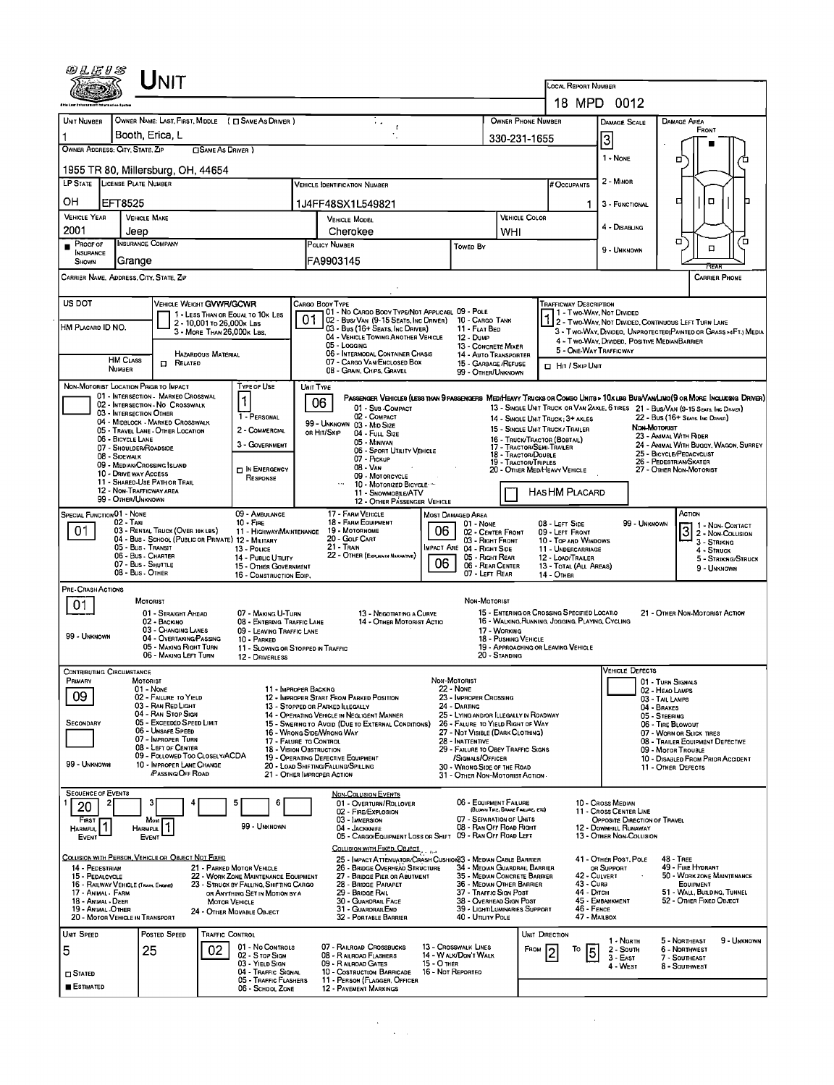|                                             | UNIT                                                                                            |                                                                                |                                                                                                                                                    |                                                                                           |                                                            |                                                                                                                   |                                                                                                                                            |                                                                                                                                 |  |  |  |  |  |
|---------------------------------------------|-------------------------------------------------------------------------------------------------|--------------------------------------------------------------------------------|----------------------------------------------------------------------------------------------------------------------------------------------------|-------------------------------------------------------------------------------------------|------------------------------------------------------------|-------------------------------------------------------------------------------------------------------------------|--------------------------------------------------------------------------------------------------------------------------------------------|---------------------------------------------------------------------------------------------------------------------------------|--|--|--|--|--|
|                                             |                                                                                                 |                                                                                |                                                                                                                                                    |                                                                                           |                                                            | Local Report Number                                                                                               | 18 MPD 0012                                                                                                                                |                                                                                                                                 |  |  |  |  |  |
| <b>UNIT NUMBER</b>                          | OWNER NAME: LAST, FIRST, MIDDLE ( C SAME AS DRIVER )                                            |                                                                                |                                                                                                                                                    |                                                                                           | <b>OWNER PHONE NUMBER</b>                                  |                                                                                                                   | DAMAGE SCALE                                                                                                                               | <b>DAMAGE AREA</b>                                                                                                              |  |  |  |  |  |
|                                             | Booth, Erica, L                                                                                 |                                                                                |                                                                                                                                                    |                                                                                           | 330-231-1655                                               |                                                                                                                   |                                                                                                                                            | FRONT                                                                                                                           |  |  |  |  |  |
| OWNER ADDRESS: CITY, STATE, ZIP             |                                                                                                 | □ SAME AS DRIVER )                                                             |                                                                                                                                                    |                                                                                           |                                                            |                                                                                                                   | 3<br>1 - NONE                                                                                                                              |                                                                                                                                 |  |  |  |  |  |
|                                             | 1955 TR 80, Millersburg, OH, 44654                                                              |                                                                                |                                                                                                                                                    |                                                                                           |                                                            |                                                                                                                   |                                                                                                                                            | □                                                                                                                               |  |  |  |  |  |
|                                             | LP STATE LICENSE PLATE NUMBER                                                                   |                                                                                | <b>VEHICLE IDENTIFICATION NUMBER</b>                                                                                                               |                                                                                           |                                                            | # Occupants                                                                                                       | 2 - MINOR                                                                                                                                  |                                                                                                                                 |  |  |  |  |  |
| он                                          | EFT8525                                                                                         |                                                                                | 1J4FF48SX1L549821                                                                                                                                  |                                                                                           |                                                            | 1.                                                                                                                | 3 - FUNCTIONAL                                                                                                                             | о<br>о                                                                                                                          |  |  |  |  |  |
| <b>VEHICLE YEAR</b><br>2001                 | <b>VEHICLE MAKE</b><br>Jeep                                                                     |                                                                                | <b>VEHICLE MODEL</b><br>Cherokee                                                                                                                   |                                                                                           | <b>VEHICLE COLOR</b><br>WHI                                |                                                                                                                   | 4 - DISABUNG                                                                                                                               |                                                                                                                                 |  |  |  |  |  |
| $P_{\text{ROOF OF}}$                        | <b>INSURANCE COMPANY</b>                                                                        |                                                                                | POLICY NUMBER                                                                                                                                      | Towen By                                                                                  |                                                            |                                                                                                                   | 9 - Unknown                                                                                                                                | Ω<br>o,<br>о                                                                                                                    |  |  |  |  |  |
| <b>INSURANCE</b><br>SHOWN                   | Grange                                                                                          |                                                                                | FA9903145                                                                                                                                          |                                                                                           |                                                            |                                                                                                                   |                                                                                                                                            | Pra                                                                                                                             |  |  |  |  |  |
|                                             | CARRIER NAME, ADDRESS, CITY, STATE, ZIP                                                         |                                                                                |                                                                                                                                                    |                                                                                           |                                                            |                                                                                                                   |                                                                                                                                            | CARRIER PHONE                                                                                                                   |  |  |  |  |  |
| US DOT                                      | VEHICLE WEIGHT GVWR/GCWR                                                                        |                                                                                | Cargo Booy Type                                                                                                                                    |                                                                                           |                                                            | Trafficway Description                                                                                            |                                                                                                                                            |                                                                                                                                 |  |  |  |  |  |
| HM PLACARD ID NO.                           |                                                                                                 | 1 - LESS THAN OR EQUAL TO 10K LBS<br>2 - 10,001 to 26,000x Las                 | 01 - No CARGO BODY TYPE/NOT APPLICABL 09 - POLE<br>01<br>02 - Bus/Van (9-15 Seats, Inc Driver) 10 - Cargo Tank<br>03 - Bus (16+ Seats, Inc Driver) | 11 - FLAT BED                                                                             |                                                            | EXPRESCRIPTION                                                                                                    |                                                                                                                                            | 2 - Two-Way, NOT DIVIDED, CONTINUOUS LEFT TURN LANE                                                                             |  |  |  |  |  |
|                                             |                                                                                                 | 3 - MORE THAN 26,000K LBS.                                                     | 04 - VEHICLE TOWING ANOTHER VEHICLE<br>05 - Logging                                                                                                | 12 - DuмP<br>13 - CONCRETE MIXER                                                          |                                                            |                                                                                                                   | 3 - Two-Way, Divideo, Unprotected(Painted or Grass >4Ft.) Media<br>4 - Two Way, Divided, Positive Median Barrier<br>5 - ONE-WAY TRAFFICWAY |                                                                                                                                 |  |  |  |  |  |
|                                             | <b>HM CLASS</b><br><b>D</b> RELATED                                                             | HAZARDOUS MATERIAL                                                             | 06 - INTERMODAL CONTAINER CHASIS<br>07 - CARGO VAN/ENCLOSED BOX                                                                                    | 15 - GARBAGE /REFUSE                                                                      | 14 - AUTO TRANSPORTER                                      | <b>D</b> HIT / SKIP UNIT                                                                                          |                                                                                                                                            |                                                                                                                                 |  |  |  |  |  |
|                                             | NUMBER                                                                                          |                                                                                | 08 - GRAIN, CHIPS, GRAVEL                                                                                                                          | 99 - OTHER/UNKNOWN                                                                        |                                                            |                                                                                                                   |                                                                                                                                            |                                                                                                                                 |  |  |  |  |  |
|                                             | NON-MOTORIST LOCATION PRIGR TO IMPACT<br>01 - INTERSECTION - MARKED CROSSWAL                    | <b>TYPE OF USE</b><br>$\mathbf{1}$                                             | UNIT TYPE<br>06                                                                                                                                    |                                                                                           |                                                            |                                                                                                                   |                                                                                                                                            | PASSENGER VEHICLES (LESS THAN 9 PASSENGERS MED/HEAVY TRUCKS OR COMBO UNITS > 10 K LES BUS/VAN/LIMO (9 OR MORE INCLUDING DRIVER) |  |  |  |  |  |
|                                             | 02 - INTERSECTION - NO CROSSWALK<br>03 - INTERSECTION OTHER<br>04 - MIDBLOCK - MARKED CROSSWALK | 1 - PERSONAL                                                                   | 01 - Sub-COMPACT<br>02 - COMPACT                                                                                                                   |                                                                                           |                                                            | 14 - SINGLE UNIT TRUCK: 3+ AXLES                                                                                  |                                                                                                                                            | 13 - SINGLE UNIT TRUCK OR VAN 2AXLE, 6 TIRES 21 - BUS/VAN (9-15 SEATS. INC DRAGE)<br>22 - Bus (16+ Seats. Inc. Driver)          |  |  |  |  |  |
|                                             | 05 - TRAVEL LANE - OTHER LOCATION<br>06 - BICYCLE LANE                                          | 2 - COMMERCIAL                                                                 | 99 - UNKNOWN 03 - MID SIZE<br>or Hit/Skip<br>04 - FULL SIZE                                                                                        |                                                                                           |                                                            | <b>NON-MOTORIST</b><br>15 - SINGLE UNIT TRUCK / TRAILER<br>23 - ANIMAL WITH RIDER<br>16 - TRUCK/TRACTOR (BOBTAIL) |                                                                                                                                            |                                                                                                                                 |  |  |  |  |  |
|                                             | 07 - Shoulder/Roadside<br>08 - SIDEWALK                                                         | 3 - GOVERNMENT                                                                 | 05 - Minivan<br>06 - SPORT UTILITY VEHICLE<br>07 - Pickup                                                                                          |                                                                                           | 17 - TRACTOR/SEMI-TRAILER<br>18 - TRACTOR/DOUBLE           |                                                                                                                   | 24 - ANIMAL WITH BUGGY, WAGON, SURREY<br>25 - BICYCLE/PEDACYCLIST                                                                          |                                                                                                                                 |  |  |  |  |  |
|                                             | 09 - MEDIAN/CROSSING ISLAND<br>10 - DRIVE WAY ACCESS                                            | <b>DIN EMERGENCY</b><br>RESPONSE                                               | 08 - VAN<br>09 - MOTORCYCLE                                                                                                                        |                                                                                           | 19 - TRACTOR/TRIPLES                                       | 20 - OTHER MED/HEAVY VEHICLE                                                                                      |                                                                                                                                            | 26 - Pedestrian/Skater<br>27 - OTHER NON-MOTORIST                                                                               |  |  |  |  |  |
|                                             | 11 - SHARED-USE PATH OR TRAIL<br>12 - NON-TRAFFICWAY AREA                                       |                                                                                | 10 - MOTORIZED BICYCLE :-<br>11 - Snowmobile/ATV                                                                                                   |                                                                                           | HASHM PLACARD                                              |                                                                                                                   |                                                                                                                                            |                                                                                                                                 |  |  |  |  |  |
| SPECIAL FUNCTION 01 - NONE                  | 99 - OTHER/UNKNOWN                                                                              | 09 - AMBULANCE                                                                 | 12 - OTHER PASSENGER VEHICLE<br>17 - FARM VEHICLE                                                                                                  | MOST DAMAGED AREA                                                                         |                                                            |                                                                                                                   |                                                                                                                                            | ACTION                                                                                                                          |  |  |  |  |  |
| 01                                          | 02 - TAXI<br>03 - RENTAL TRUCK (OVER 10KLBS)                                                    | $10 -$ Fire<br>11 - HIGHWAY/MAINTENANCE                                        | 18 - FARM EQUIPMENT<br>19 - Мотовноме                                                                                                              | $01 - None$<br>06                                                                         | 02 - CENTER FRONT                                          | 08 - LEFT SIDE<br>09 - LEFT FRONT                                                                                 | 99 - Unknown                                                                                                                               | $\boxed{3}$ $\boxed{2}$ - Non-Contact                                                                                           |  |  |  |  |  |
|                                             | 04 - Bus - School (Public or Private) 12 - Military<br>05 - Bus - Transit                       | 13 - Pouce                                                                     | 20 - GOLF CART<br>21 - TRAIN                                                                                                                       | 03 - RIGHT FRONT<br>IMPACT ARE 04 - RIGHT SIDE                                            | 10 - Top and Windows<br>11 - UNDERCARRIAGE                 | 3 - Striking<br>4 - Struck                                                                                        |                                                                                                                                            |                                                                                                                                 |  |  |  |  |  |
|                                             | 06 - Bus - Charter<br>07 - Bus - SHUTTLE<br>08 - Bus - OTHER                                    | 14 - PUBLIC UTILITY<br>15 - OTHER GOVERNMENT                                   | 22 - OTHER (EXPLANN NARRATIVE)                                                                                                                     | 05 - RIGHT REAR<br>06<br>06 - REAR CENTER<br>07 - LEFT REAR                               |                                                            | 12 - LOAD/TRAILER<br>13 - TOTAL (ALL AREAS)                                                                       |                                                                                                                                            | 5 - STRIKING/STRUCK<br>9 - Unknown                                                                                              |  |  |  |  |  |
| PRE-CRASH ACTIONS                           |                                                                                                 | 16 - CONSTRUCTION EOIP.                                                        |                                                                                                                                                    |                                                                                           |                                                            | <b>14 - OTHER</b>                                                                                                 |                                                                                                                                            |                                                                                                                                 |  |  |  |  |  |
| 01                                          | MOTORIST                                                                                        |                                                                                |                                                                                                                                                    | NON-MOTORIST                                                                              |                                                            |                                                                                                                   |                                                                                                                                            |                                                                                                                                 |  |  |  |  |  |
|                                             | 01 - STRAIGHT AHEAD<br>02 - BACKINO<br>03 - CHANGING LANES                                      | 07 - MAKING U-TURN<br>08 - ENTERING TRAFFIC LANE                               | 13 - NEGOTIATING A CURVE<br>14 - OTHER MOTORIST ACTIO                                                                                              |                                                                                           | 17 - WORKING                                               | 15 - ENTERING OR CROSSING SPECIFIED LOCATIO<br>16 - WALKING, RUNNING, JOGGING, PLAYING, CYCLING                   |                                                                                                                                            | 21 - OTHER NON-MOTORIST ACTION                                                                                                  |  |  |  |  |  |
| 99 - UNKNOWN                                | 04 - OVERTAKING/PASSING<br>05 - MAKING RIGHT TURN                                               | 09 - LEAVING TRAFFIC LANE<br>10 - PARKED                                       | 11 - SLOWING OR STOPPED IN TRAFFIC                                                                                                                 |                                                                                           | 18 - PUSHING VEHICLE                                       | 19 - APPROACHING OR LEAVING VEHICLE                                                                               |                                                                                                                                            |                                                                                                                                 |  |  |  |  |  |
|                                             | 06 - MAKING LEFT TURN                                                                           | 12 - DRIVERLESS                                                                |                                                                                                                                                    |                                                                                           | 20 - Standing                                              |                                                                                                                   |                                                                                                                                            |                                                                                                                                 |  |  |  |  |  |
| <b>CONTRIBUTING CIRCUMSTANCE</b><br>PRIMARY | MOTORIST                                                                                        |                                                                                |                                                                                                                                                    | NON-MOTORIST                                                                              |                                                            |                                                                                                                   | <b>VEHICLE DEFECTS</b>                                                                                                                     | 01 - TURN SIGNALS                                                                                                               |  |  |  |  |  |
| 09                                          | 01 - None<br>02 - FAILURE TO YIELD                                                              |                                                                                | 11 - IMPROPER BACKING<br>12 - IMPROPER START FROM PARKED POSITION                                                                                  | <b>22 - NONE</b><br>23 - IMPROPER CROSSING                                                |                                                            |                                                                                                                   |                                                                                                                                            | 02 - HEAO LAMPS<br>03 - TAIL LAMPS                                                                                              |  |  |  |  |  |
|                                             | 03 - RAN RED LIGHT<br>04 - RAN STOP SIGN<br>05 - Exceeded Speed LIMIT                           |                                                                                | 13 - STOPPED OR PARKED ILLEGALLY<br>14 - OPERATING VEHICLE IN NEGLIGENT MANNER                                                                     | 24 - DARTING<br>25 - LYING AND/OR ILLEGALLY IN ROADWAY                                    |                                                            |                                                                                                                   |                                                                                                                                            | 04 - BRAKES<br>05 - STEERING                                                                                                    |  |  |  |  |  |
| SECONDARY                                   | 06 - Unsafe Speed<br>07 - IMPROPER TURN                                                         |                                                                                | 15 - Swering to Avoid (Due to External Conditions)<br>16 - Wrong Side/Wrong Way<br>17 - FALURE TO CONTROL                                          | 26 - FALURE TO YIELD RIGHT OF WAY<br>27 - NOT VISIBLE (DARK CLOTHING)<br>28 - INATTENTIVE |                                                            |                                                                                                                   |                                                                                                                                            | 06 - TIRE BLOWOUT<br>07 - WORN OR SLICK TIRES                                                                                   |  |  |  |  |  |
|                                             | 08 - LEFT OF CENTER<br>09 - FOLLOWED TOO CLOSELY/ACDA                                           |                                                                                | 18 - VISION OBSTRUCTION<br>19 - OPERATING DEFECTIVE EQUIPMENT                                                                                      | 29 - FAILURE TO OBEY TRAFFIC SIGNS<br>/Signals/Officer                                    |                                                            | 08 - TRAILER EQUIPMENT DEFECTIVE<br>09 - MOTOR TROUBLE<br>10 - DISABLED FROM PRIOR ACCIDENT                       |                                                                                                                                            |                                                                                                                                 |  |  |  |  |  |
| 99 - UNKNOWN                                | 10 - IMPROPER LANE CHANGE<br><b>PASSING OFF ROAD</b>                                            |                                                                                | 20 - LOAD SHIFTING/FALLING/SPILLING<br>21 - OTHER IMPROPER ACTION                                                                                  | 30 - WRONG SIDE OF THE ROAD<br>31 - OTHER NON-MOTORIST ACTION.                            |                                                            |                                                                                                                   |                                                                                                                                            | 11 - OTHER DEFECTS                                                                                                              |  |  |  |  |  |
| <b>SEQUENCE OF EVENTS</b>                   |                                                                                                 |                                                                                | NON-COLUSION EVENTS                                                                                                                                |                                                                                           |                                                            |                                                                                                                   |                                                                                                                                            |                                                                                                                                 |  |  |  |  |  |
| 20                                          | 3                                                                                               | 6                                                                              | 01 - OVERTURN/ROLLOVER<br>02 - FIRE/EXPLOSION                                                                                                      |                                                                                           | 06 - EQUIPMENT FAILURE<br>(BLOWN TIRE, BRAKE FAILURE, ETC) |                                                                                                                   | 10 - Cross Median<br>11 - Cross Center LINE                                                                                                |                                                                                                                                 |  |  |  |  |  |
| <b>FIRST</b><br>HARMFUL <sup>1</sup>        | Most<br>HARMFUL <sup>1</sup>                                                                    | 99 - UNKNOWN                                                                   | 03 - IMMERSION<br>04 - JACKKNIFE                                                                                                                   |                                                                                           | 07 - SEPARATION OF UNITS<br>08 - RAN OFF ROAD RIGHT        |                                                                                                                   | <b>OPPOSITE DIRECTION OF TRAVEL</b><br>12 - DOWNHILL RUNAWAY                                                                               |                                                                                                                                 |  |  |  |  |  |
| EVENT                                       | EVENT                                                                                           |                                                                                | 05 - CARGO/EQUIPMENT LOSS OR SHIFT 09 - RAN OFF ROAD LEFT<br>COLLISION WITH FIXED, OBJECT                                                          |                                                                                           |                                                            |                                                                                                                   | 13 - OTHER NON-COLLISION                                                                                                                   |                                                                                                                                 |  |  |  |  |  |
| 14 - PEDESTRIAN                             | COLLISION WITH PERSON, VEHICLE OR OBJECT NOT FIXED                                              | 21 - PARKED MOTOR VEHICLE                                                      | 25 - IMPACT ATTENUATOR/CRASH CUSHION33 - MEDIAN CABLE BARRIER<br>26 - BRIDGE OVERHEAD STRUCTURE                                                    |                                                                                           | 34 - MEDIAN GUARDRAIL BARRIER                              |                                                                                                                   | 41 - OTHER POST, POLE<br>OR SUPPORT                                                                                                        | <b>48 - TREE</b><br>49 - FIRE HYDRANT                                                                                           |  |  |  |  |  |
| 15 - PEDALCYCLE                             | 16 - RAILWAY VEHICLE (TRAIN, ENGINE)                                                            | 22 - WORK ZONE MAINTENANCE EQUIPMENT<br>23 - STRUCK BY FALLING, SHIFTING CARGO | 27 - BRIDGE PIER OR ABUTMENT<br>28 - BRIDGE PARAPET                                                                                                |                                                                                           | 35 - MEDIAN CONCRETE BARRIER<br>36 - MEDIAN OTHER BARRIER  | 42 - CULVERT<br>$43 - C$ URB                                                                                      |                                                                                                                                            | 50 - WORK ZONE MAINTENANCE<br>EQUIPMENT                                                                                         |  |  |  |  |  |
| 17 - Animal - Farm<br>18 - ANIMAL - DEER    |                                                                                                 | OR ANYTHING SET IN MOTION BY A<br><b>MOTOR VEHICLE</b>                         | 29 - BRIDGE RAIL<br>30 - GUARDRAIL FACE                                                                                                            | 37 - TRAFFIC SIGN POST                                                                    | 38 - OVERHEAD SIGN POST                                    | 44 - Олсн<br>46 - FENCE                                                                                           | 45 - EMBANKMENT                                                                                                                            | 51 - WALL, BUILDING, TUNNEL<br>52 - OTHER FIXED OBJECT                                                                          |  |  |  |  |  |
| 19 - ANIMAL -OTHER                          | 20 - MOTOR VEHICLE IN TRANSPORT                                                                 | 24 - OTHER MOVABLE OBJECT                                                      | 31 - GUARDRAILEND<br>32 - PORTABLE BARRIER                                                                                                         | 40 - UTILITY POLE                                                                         | 39 - LIGHT/LUMINARIES SUPPORT                              | 47 - MAILBOX                                                                                                      |                                                                                                                                            |                                                                                                                                 |  |  |  |  |  |
| UNIT SPEED                                  | POSTED SPEED                                                                                    | <b>TRAFFIC CONTROL</b><br>01 - No CONTROLS                                     | 07 - RAILROAD CROSSBUCKS                                                                                                                           | 13 - Crosswalk LINES                                                                      |                                                            | UNIT DIRECTION                                                                                                    | 1 - North                                                                                                                                  | 5 - NORTHEAST<br>9 - Unknown                                                                                                    |  |  |  |  |  |
| 5                                           | 25                                                                                              | 02<br>02 - S TOP SIGN<br>03 - YIELD SIGN                                       | 08 - RAILROAD FLASHERS<br>09 - RAILROAD GATES                                                                                                      | 14 - W ALK/DON'T WALK<br>15 - О тнев                                                      |                                                            | $F_{ROM}$ 2<br>То<br>5                                                                                            | 2 - South<br>$3 - East$<br>4 - WEST                                                                                                        | <b>6 - NORTHWEST</b><br>7 - SOUTHEAST<br>8 - SOUTHWEST                                                                          |  |  |  |  |  |
| $\square$ Stated                            |                                                                                                 | 04 - TRAFFIC SIGNAL<br>05 - TRAFFIC FLASHERS                                   | 10 - COSTRUCTION BARRICADE<br>11 - PERSON (FLAGGER, OFFICER                                                                                        | 16 - Not Reported                                                                         |                                                            |                                                                                                                   |                                                                                                                                            |                                                                                                                                 |  |  |  |  |  |
| ESTIMATED                                   |                                                                                                 | 06 - SCHOOL ZONE                                                               | <b>12 - PAVEMENT MARKINGS</b>                                                                                                                      |                                                                                           |                                                            |                                                                                                                   |                                                                                                                                            |                                                                                                                                 |  |  |  |  |  |

 $\label{eq:2} \frac{1}{\sqrt{2}}\sum_{i=1}^n\frac{1}{\sqrt{2\pi}}\sum_{i=1}^n\frac{1}{\sqrt{2\pi}}\sum_{i=1}^n\frac{1}{\sqrt{2\pi}}\sum_{i=1}^n\frac{1}{\sqrt{2\pi}}\sum_{i=1}^n\frac{1}{\sqrt{2\pi}}\sum_{i=1}^n\frac{1}{\sqrt{2\pi}}\sum_{i=1}^n\frac{1}{\sqrt{2\pi}}\sum_{i=1}^n\frac{1}{\sqrt{2\pi}}\sum_{i=1}^n\frac{1}{\sqrt{2\pi}}\sum_{i=1}^n\frac{1}{$ 

 $\label{eq:2.1} \frac{1}{\sqrt{2}}\int_{\mathbb{R}^3}\frac{1}{\sqrt{2}}\left(\frac{1}{\sqrt{2}}\right)^2\frac{1}{\sqrt{2}}\left(\frac{1}{\sqrt{2}}\right)^2\frac{1}{\sqrt{2}}\left(\frac{1}{\sqrt{2}}\right)^2\frac{1}{\sqrt{2}}\left(\frac{1}{\sqrt{2}}\right)^2.$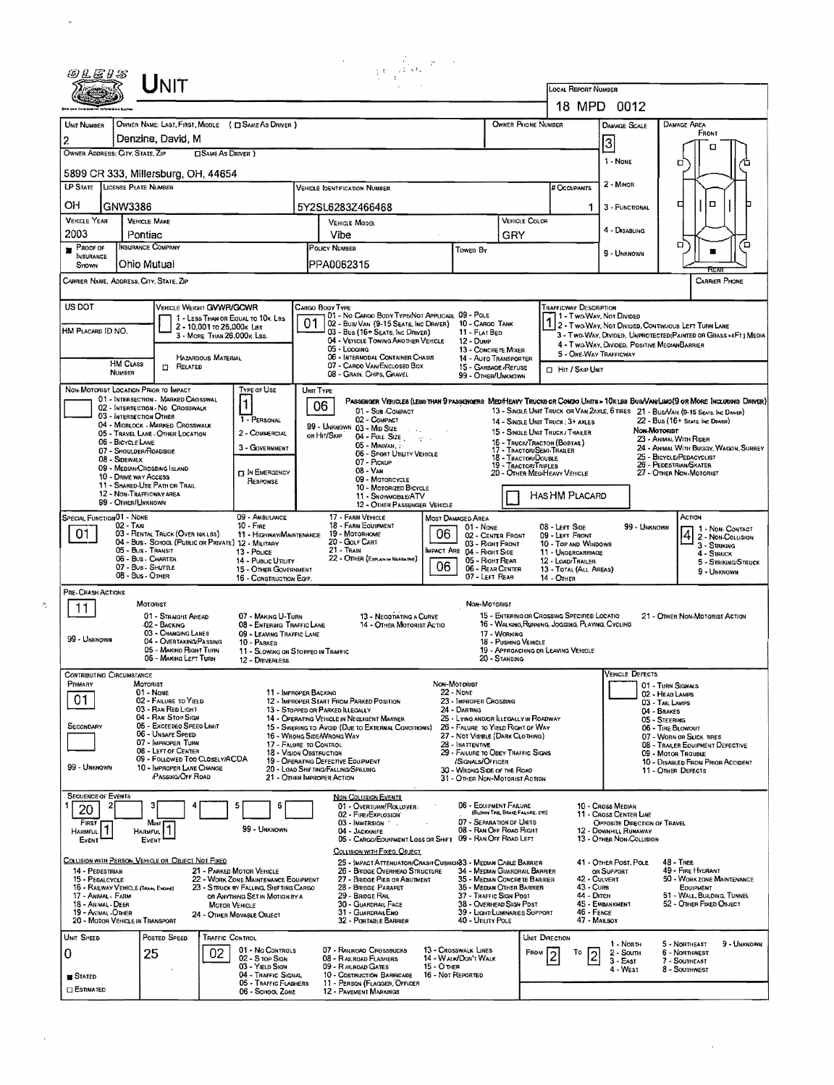|                                                                                                                                                                                                                                                                                                                                                        |                                                |                                                                                        |                                                         |                                                                                |                                                                                                                                                                                                                                     | $\sum_{\substack{1\leq i\leq n\\i\neq j\neq j}}\frac{1}{i!}\sum_{i=1}^n\sum_{j=1}^n\frac{p_{ij}}{j!}\,.$                                               |                                  |                                                                            |                                      |                                                                                                                                            |                                                                                                                                                                                                             |                                                                                                               |                                                              |                   |                                    |  |  |
|--------------------------------------------------------------------------------------------------------------------------------------------------------------------------------------------------------------------------------------------------------------------------------------------------------------------------------------------------------|------------------------------------------------|----------------------------------------------------------------------------------------|---------------------------------------------------------|--------------------------------------------------------------------------------|-------------------------------------------------------------------------------------------------------------------------------------------------------------------------------------------------------------------------------------|--------------------------------------------------------------------------------------------------------------------------------------------------------|----------------------------------|----------------------------------------------------------------------------|--------------------------------------|--------------------------------------------------------------------------------------------------------------------------------------------|-------------------------------------------------------------------------------------------------------------------------------------------------------------------------------------------------------------|---------------------------------------------------------------------------------------------------------------|--------------------------------------------------------------|-------------------|------------------------------------|--|--|
|                                                                                                                                                                                                                                                                                                                                                        | UNIT                                           |                                                                                        |                                                         |                                                                                |                                                                                                                                                                                                                                     |                                                                                                                                                        |                                  |                                                                            |                                      |                                                                                                                                            |                                                                                                                                                                                                             |                                                                                                               |                                                              |                   |                                    |  |  |
|                                                                                                                                                                                                                                                                                                                                                        |                                                |                                                                                        |                                                         |                                                                                |                                                                                                                                                                                                                                     |                                                                                                                                                        |                                  |                                                                            |                                      |                                                                                                                                            |                                                                                                                                                                                                             | 18 MPD 0012                                                                                                   |                                                              |                   |                                    |  |  |
| UNIT NUMBER<br>2                                                                                                                                                                                                                                                                                                                                       |                                                | Denzine, David, M                                                                      |                                                         | OWNER NAME: LAST FIRST MIDDLE ( C SAME AS DRIVER )                             |                                                                                                                                                                                                                                     |                                                                                                                                                        |                                  |                                                                            | <b>OWNER PHONE NUMBER</b>            |                                                                                                                                            |                                                                                                                                                                                                             | DAMAGE SCALE                                                                                                  | DAMAGE AREA                                                  | FRONT             |                                    |  |  |
| OWNER ADDRESS: CITY, STATE, ZIP<br><b>CISAME AS DRIVER</b> )                                                                                                                                                                                                                                                                                           |                                                |                                                                                        |                                                         |                                                                                |                                                                                                                                                                                                                                     |                                                                                                                                                        |                                  |                                                                            |                                      |                                                                                                                                            |                                                                                                                                                                                                             | 3<br>1 - None                                                                                                 |                                                              | п                 |                                    |  |  |
|                                                                                                                                                                                                                                                                                                                                                        |                                                | 5899 CR 333, Millersburg, OH, 44654                                                    |                                                         |                                                                                |                                                                                                                                                                                                                                     |                                                                                                                                                        |                                  |                                                                            |                                      |                                                                                                                                            |                                                                                                                                                                                                             |                                                                                                               | О                                                            |                   |                                    |  |  |
| <b>LP STATE</b>                                                                                                                                                                                                                                                                                                                                        | <b>LICENSE PLATE NUMBER</b>                    |                                                                                        |                                                         |                                                                                |                                                                                                                                                                                                                                     | <b>VEHICLE IDENTIFICATION NUMBER</b>                                                                                                                   |                                  |                                                                            |                                      |                                                                                                                                            | <b># Occupants</b>                                                                                                                                                                                          | 2 - MINOR                                                                                                     |                                                              |                   |                                    |  |  |
| OН                                                                                                                                                                                                                                                                                                                                                     | GNW3386                                        |                                                                                        |                                                         |                                                                                |                                                                                                                                                                                                                                     | 5Y2SL6283Z466468                                                                                                                                       |                                  |                                                                            |                                      |                                                                                                                                            | 1.                                                                                                                                                                                                          | 3 - FUNCTIONAL                                                                                                | □                                                            | o                 |                                    |  |  |
| VEHICLE YEAR<br>2003                                                                                                                                                                                                                                                                                                                                   | <b>VEHICLE MAKE</b><br>Pontiac                 |                                                                                        |                                                         |                                                                                |                                                                                                                                                                                                                                     | VEHICLE MODEL<br>Vibe                                                                                                                                  |                                  |                                                                            | <b>VEHICLE COLOR</b><br>GRY          |                                                                                                                                            |                                                                                                                                                                                                             | 4 - DISABLING                                                                                                 |                                                              |                   |                                    |  |  |
| $P_{ROOF OF}$<br>INSURANCE                                                                                                                                                                                                                                                                                                                             |                                                | <b>INSURANCE COMPANY</b>                                                               |                                                         |                                                                                | POLICY NUMBER<br>Towen By                                                                                                                                                                                                           |                                                                                                                                                        |                                  |                                                                            |                                      |                                                                                                                                            |                                                                                                                                                                                                             | 9 - Unknown                                                                                                   | о                                                            |                   | ם                                  |  |  |
| SHOWN                                                                                                                                                                                                                                                                                                                                                  | Ohio Mutual                                    |                                                                                        |                                                         |                                                                                |                                                                                                                                                                                                                                     | PPA0062315                                                                                                                                             |                                  |                                                                            |                                      |                                                                                                                                            |                                                                                                                                                                                                             |                                                                                                               |                                                              |                   |                                    |  |  |
| CARRIER NAME, ADDRESS, CITY, STATE, ZIP                                                                                                                                                                                                                                                                                                                |                                                |                                                                                        |                                                         |                                                                                |                                                                                                                                                                                                                                     |                                                                                                                                                        |                                  |                                                                            |                                      |                                                                                                                                            |                                                                                                                                                                                                             |                                                                                                               |                                                              |                   | CARRIER PHONE                      |  |  |
| US DOT                                                                                                                                                                                                                                                                                                                                                 |                                                | VEHICLE WEIGHT GVWR/GCWR                                                               |                                                         | 1 - LESS THAN OR EQUAL TO 10K LBS                                              |                                                                                                                                                                                                                                     | CARGO BODY TYPE<br>01 - No CARGO BODY TYPE/NOT APPLICABL 09 - POLE                                                                                     |                                  |                                                                            |                                      |                                                                                                                                            | Trafficway Description                                                                                                                                                                                      | 11 - Two Way, Not Divided                                                                                     |                                                              |                   |                                    |  |  |
| HM PLACARD ID NO.                                                                                                                                                                                                                                                                                                                                      |                                                |                                                                                        | 2 - 10,001 to 26,000x Las<br>3 - MORE THAN 26.000K LSS. |                                                                                | 01                                                                                                                                                                                                                                  | 02 - Busz Van (9-15 Seats, Inc Driver)<br>03 - Bus (16+ Seats, Inc Driver)                                                                             |                                  | 10 - Cargo Tank<br>11 - FLAT BED                                           |                                      |                                                                                                                                            |                                                                                                                                                                                                             | 1 2 - T WO WAY, NOT DIVIDED, CONTINUOUS LEFT TURN LANE                                                        |                                                              |                   |                                    |  |  |
|                                                                                                                                                                                                                                                                                                                                                        |                                                |                                                                                        |                                                         |                                                                                |                                                                                                                                                                                                                                     | 04 - VEHICLE TOWING ANOTHER VEHICLE<br>05 - Losging<br>06 - INTERMODAL CONTAINER CHASIS                                                                | 12 - Dump<br>13 - CONCRETE MIXER |                                                                            |                                      | 3 - Two-Way, Divided, Unprotected (Painted or Grass >4FT) Media<br>4 - TWO-WAY, DIVIDEO, POSITIVE MEDIAN BARRIER<br>5 - ONE-WAY TRAFFICWAY |                                                                                                                                                                                                             |                                                                                                               |                                                              |                   |                                    |  |  |
|                                                                                                                                                                                                                                                                                                                                                        | HM CLASS<br>NUMBER                             | <b>CT</b> RELATED                                                                      | HAZARDOUS MATERIAL                                      |                                                                                |                                                                                                                                                                                                                                     | 07 - CAROO VAN/ENCLOSEO BOX<br>08 - GRAIN, CHIPS, GRAVEL                                                                                               |                                  | <b>14 - AUTO TRANSPORTER</b><br>15 - GARBAOE /REFUSE<br>99 - OTHER/UNKNOWN |                                      |                                                                                                                                            | <b>El Hit / Skip Unit</b>                                                                                                                                                                                   |                                                                                                               |                                                              |                   |                                    |  |  |
| NON-MOTORIST LOCATION PRIOR TO IMPACT                                                                                                                                                                                                                                                                                                                  |                                                |                                                                                        |                                                         | <b>TYPE OF USE</b>                                                             | UNIT TYPE                                                                                                                                                                                                                           |                                                                                                                                                        |                                  |                                                                            |                                      |                                                                                                                                            |                                                                                                                                                                                                             |                                                                                                               |                                                              |                   |                                    |  |  |
|                                                                                                                                                                                                                                                                                                                                                        |                                                | 01 - INTERSECTION - MARKED CROSSWAL<br>02 - INTERSECTION - NO CROSSWALK                |                                                         |                                                                                |                                                                                                                                                                                                                                     | PASSENGER VEHICLES (LESS THAN 9 PASSENGERS MEDIHEAVY TRUCKS OR COMBO UNITS > 10KLBS BUS/VAN/LIMO(9 OR MORE INCLUDING DRIVER)<br>06<br>01 - Sub COMPACT |                                  |                                                                            |                                      |                                                                                                                                            |                                                                                                                                                                                                             |                                                                                                               |                                                              |                   |                                    |  |  |
|                                                                                                                                                                                                                                                                                                                                                        | 03 - INTERSECTION OTHER                        | 04 - MIDBLOCK - MARKED CROSSWALK<br>05 - TRAVEL LANE - OTHER LOCATION                  |                                                         | 1 - PERSONAL<br>2 - COMMERCIAL                                                 |                                                                                                                                                                                                                                     | 02 - COMPACT<br>99 - UNKNOWN 03 - MID SIZE<br>$\alpha = 4.2$                                                                                           |                                  |                                                                            |                                      |                                                                                                                                            | 13 - SINGLE UNIT TRUCK OR VAN 2AXLE, 6 TIRES 21 - BUS/VAN (9-15 SEATS, INC DANER)<br>22 - BUS (16+ Seats, Inc Driver)<br>14 - SINGLE UNIT TRUCK: 3+ AXLES<br>Non-Motorust<br>15 - SINGLE UNIT TRUCK/TRAILER |                                                                                                               |                                                              |                   |                                    |  |  |
|                                                                                                                                                                                                                                                                                                                                                        | 06 - BICYCLE LANE<br>07 - SHOULDER/ROADSIDE    |                                                                                        |                                                         | 3 - GOVERNMENT                                                                 |                                                                                                                                                                                                                                     | OR HIT/SKIP<br>04 - FOLL SIZE<br>05 - Minivan                                                                                                          |                                  |                                                                            |                                      |                                                                                                                                            | 23 - ANIMAL WITH RIDER<br>16 - TRUCK/TRACTOR (BOBTAR.)<br>24 - ANIMAL WITH BUGGY, WAGON, SURREY<br>17 - Tractor/Semi-Trailer                                                                                |                                                                                                               |                                                              |                   |                                    |  |  |
| 08 - Sidewalk<br>09 - MEDIAN/CROSSING ISLAND                                                                                                                                                                                                                                                                                                           |                                                |                                                                                        |                                                         |                                                                                |                                                                                                                                                                                                                                     | 06 - Sport Utillity Vericle<br>18 - Tractor/Double<br>07 - Pickup<br>19 - TRACTOR/TRIPLES<br>08 - Van                                                  |                                  |                                                                            |                                      |                                                                                                                                            |                                                                                                                                                                                                             | 25 - BICYCLE/PEDACYCLIST<br>26 - Pedestrian/Skater<br>27 - OTHER NON-MOTORIST<br>20 - OTHER MEDIHEAVY VEHICLE |                                                              |                   |                                    |  |  |
| <b>D IN EMERGENCY</b><br>10 - DRIVE WAY ACCESS<br>RESPONSE<br>11 - SHARED-USE PATH OR TRAIL                                                                                                                                                                                                                                                            |                                                |                                                                                        |                                                         |                                                                                |                                                                                                                                                                                                                                     | 09 - MOTORCYCLE<br>10 - Motorized Bicycle                                                                                                              |                                  |                                                                            |                                      |                                                                                                                                            |                                                                                                                                                                                                             |                                                                                                               |                                                              |                   |                                    |  |  |
|                                                                                                                                                                                                                                                                                                                                                        | 12 - NON-TRAFFICWAY AREA<br>99 - OTHER/UNKNOWN |                                                                                        |                                                         |                                                                                |                                                                                                                                                                                                                                     | 11 - SNOWMOBILE/ATV<br>12 - OTHER PASSENGER VEHICLE                                                                                                    |                                  |                                                                            |                                      |                                                                                                                                            | <b>HASHM PLACARD</b>                                                                                                                                                                                        |                                                                                                               |                                                              |                   |                                    |  |  |
| SPECIAL FUNCTION 01 - NONE                                                                                                                                                                                                                                                                                                                             | $02 - Tax$                                     |                                                                                        |                                                         | 09 - AMBULANCE<br>$10 -$ Figg                                                  |                                                                                                                                                                                                                                     | 17 - FARM VEHICLE<br>18 - FARM EQUIPMENT<br>19 - MOTORHOME                                                                                             | 06                               | MOST DAMAGED AREA<br>$01 - None$                                           |                                      |                                                                                                                                            | 08 - Lert Side                                                                                                                                                                                              | 99 - UNKNOWN                                                                                                  |                                                              | ACTION            | 1 - Non-Contact                    |  |  |
| 01                                                                                                                                                                                                                                                                                                                                                     | 05 - Bus - Transit                             | 03 - RENTAL TRUCK (OVER 10KLBS)<br>04 - Bus - SCHOOL (PUBLIC OR PRIVATE) 12 - MILITARY |                                                         | 11 - HIGHWAY/MAINTENANCE<br>13 - Pouce                                         | 02 - CENTER FRONT<br>20 - Golf Cart<br>03 - RIGHT FRONT<br>21 - TRAIN<br><b>IMPACT ARE 04 - RIGHT SIDE</b>                                                                                                                          |                                                                                                                                                        |                                  |                                                                            |                                      |                                                                                                                                            | $4\frac{1}{2}$ - Non-Collision<br>09 - LEFT FRONT<br>10 - TOP AND WINDOWS<br>$3 -$ Striking<br>11 - UNDERCARRIAGE<br>4 - STRUCK                                                                             |                                                                                                               |                                                              |                   |                                    |  |  |
|                                                                                                                                                                                                                                                                                                                                                        | 06 - BUS - CHARTER<br>07 - Bus - SHUTTLE       |                                                                                        |                                                         | 14 - PUBLIC UTILITY<br>15 - OTHER GOVERNMENT                                   | 22 - OTHER (EXPLANIN NARRAITVE)<br>05 - Right Rear<br>06<br>06 - REAR CENTER                                                                                                                                                        |                                                                                                                                                        |                                  |                                                                            |                                      |                                                                                                                                            | 12 - LOAD/TRAILER<br>13 - TOTAL (ALL AREAS)                                                                                                                                                                 |                                                                                                               |                                                              |                   | 5 - STRIKING/STRUCK<br>9 - UNKNOWN |  |  |
| PRE-CRASH ACTIONS                                                                                                                                                                                                                                                                                                                                      | 08 - Bus - OTHER                               |                                                                                        |                                                         | 16 - CONSTRUCTION EOIP.                                                        |                                                                                                                                                                                                                                     |                                                                                                                                                        |                                  |                                                                            | 07 - LEFT REAR                       |                                                                                                                                            | $14 -$ OTHER                                                                                                                                                                                                |                                                                                                               |                                                              |                   |                                    |  |  |
| 11                                                                                                                                                                                                                                                                                                                                                     |                                                | MOTORIST                                                                               |                                                         |                                                                                |                                                                                                                                                                                                                                     |                                                                                                                                                        |                                  | NDN-MOTORIST                                                               |                                      |                                                                                                                                            |                                                                                                                                                                                                             |                                                                                                               |                                                              |                   |                                    |  |  |
|                                                                                                                                                                                                                                                                                                                                                        |                                                | 01 - Straight Aread<br>-02 - BACKING                                                   |                                                         | 07 - MAKING U-TURN<br>08 - ENTERING TRAFFIC LANE                               |                                                                                                                                                                                                                                     | 13 - NEGOTIATING A CURVE<br>14 - OTHER MOTORIST ACTIO                                                                                                  |                                  |                                                                            |                                      |                                                                                                                                            | 15 - ENTERING OR CROSSING SPECIFIED LOCATIO<br>16 - WALKING, RUNNING, JOGGING, PLAYING, CYCLING                                                                                                             |                                                                                                               | 21 - OTHER NON-MOTORIST ACTION                               |                   |                                    |  |  |
| 99 - UNKNOWN                                                                                                                                                                                                                                                                                                                                           |                                                | 03 - CHANGING LANES<br>04 - Overtaking/Passing<br>05 - MAKINO RIGHT TURN               |                                                         | 09 - LEAVING TRAFFIC LANE<br>10 - PARKED<br>11 - SLOWING OR STOPPED IN TRAFFIC |                                                                                                                                                                                                                                     |                                                                                                                                                        |                                  |                                                                            | 17 - WORKING<br>18 - Pushing Venicle |                                                                                                                                            | 19 - APPROACHING OR LEAVING VEHICLE                                                                                                                                                                         |                                                                                                               |                                                              |                   |                                    |  |  |
|                                                                                                                                                                                                                                                                                                                                                        |                                                | 06 - MAKING LEFT TURN                                                                  |                                                         | 12 - DRIVERLESS                                                                |                                                                                                                                                                                                                                     |                                                                                                                                                        |                                  |                                                                            | 20 - STANDING                        |                                                                                                                                            |                                                                                                                                                                                                             |                                                                                                               |                                                              |                   |                                    |  |  |
| CONTRIBUTING CIRCUMSTANCE<br>PRIMARY                                                                                                                                                                                                                                                                                                                   | MOTORIST                                       |                                                                                        |                                                         |                                                                                |                                                                                                                                                                                                                                     |                                                                                                                                                        |                                  | NON-MOTORIST                                                               |                                      |                                                                                                                                            |                                                                                                                                                                                                             | VEHICLE DEFECTS                                                                                               | 01 - TURN SIGNALS                                            |                   |                                    |  |  |
| 01                                                                                                                                                                                                                                                                                                                                                     |                                                | 01 - None<br>02 - FAILURE TO YIELD<br>03 - RAN RED LIGHT                               |                                                         | 11 - IMPROPER BACKING                                                          |                                                                                                                                                                                                                                     | 12 - IMPROPER START FROM PARKED POSITION                                                                                                               |                                  | <b>22 - NONE</b><br>23 - IMPROPER CROSSING                                 |                                      |                                                                                                                                            |                                                                                                                                                                                                             |                                                                                                               | 02 - HEAD LAMPS<br>03 - TAIL LAMPS                           |                   |                                    |  |  |
| SECONDARY                                                                                                                                                                                                                                                                                                                                              |                                                | 04 - RAN STOP SIGN<br>05 - Exceeded Speed Limit                                        |                                                         |                                                                                | 13 - STOPPED OR PARKED ILLEGALLY<br>24 - Darting<br>14 - OPERATING VEHICLE IN NEGLIGENT MANNER<br>25 - LYING AND/OR ILLEGALLY IN ROADWAY<br>26 - FALURE TO YIELD RIGHT OF WAY<br>15 - Swering to Avoid (Due to External Conditions) |                                                                                                                                                        |                                  |                                                                            |                                      |                                                                                                                                            | 04 - BRAKES<br>05 - STEERING<br>06 - TIRE BLOWOUT                                                                                                                                                           |                                                                                                               |                                                              |                   |                                    |  |  |
|                                                                                                                                                                                                                                                                                                                                                        |                                                | 06 - Unsafe Speed<br>07 - IMPROPER TURN                                                |                                                         |                                                                                | 16 - WRONG SIDE/WRONG WAY<br>27 - NOT VISIBLE (DARK CLOTHING)<br>17 - FALURE TO CONTROL<br>28 - INATTENTIVE                                                                                                                         |                                                                                                                                                        |                                  |                                                                            |                                      |                                                                                                                                            |                                                                                                                                                                                                             |                                                                                                               | 07 - WORN OR SLICK TIRES<br>08 - TRAILER EQUIPMENT DEFECTIVE |                   |                                    |  |  |
| 99 - Unknown                                                                                                                                                                                                                                                                                                                                           |                                                | 08 - LEFT OF CENTER<br>09 - FOLLOWED TOO CLOSELY/ACDA<br>10 - IMPROPER LANE CHANGE     |                                                         |                                                                                | 18 - Vision OBSTRUCTION<br>29 - FAILURE TO OBEY TRAFFIC SIGNS<br>19 - OPERATING DEFECTIVE EQUIPMENT<br>/SIGNALS/OFFICER<br>30 - WRONG SIDE OF THE ROAD                                                                              |                                                                                                                                                        |                                  |                                                                            |                                      |                                                                                                                                            |                                                                                                                                                                                                             | 10 - DISABLED FROM PRIOR ACCIDENT                                                                             |                                                              |                   |                                    |  |  |
|                                                                                                                                                                                                                                                                                                                                                        |                                                | PASSING/OFF ROAD                                                                       |                                                         |                                                                                |                                                                                                                                                                                                                                     | 20 - LOAD SHIFTING/FALLING/SPILLING<br>21 - OTHER IMPROPER ACTION                                                                                      |                                  | 31 - OTHER NON-MOTORIST ACTION                                             |                                      |                                                                                                                                            |                                                                                                                                                                                                             |                                                                                                               | 11 - OTHER DEFECTS                                           |                   |                                    |  |  |
| <b>SEQUENCE OF EVENTS</b><br>20                                                                                                                                                                                                                                                                                                                        |                                                |                                                                                        |                                                         | 6                                                                              |                                                                                                                                                                                                                                     | <b>NON-COLLISION EVENTS</b><br>01 - Overturn/Rollover.                                                                                                 |                                  | 06 - EQUIPMENT FAILURE                                                     |                                      |                                                                                                                                            |                                                                                                                                                                                                             | 10 - Cross Median                                                                                             |                                                              |                   |                                    |  |  |
| FIRST                                                                                                                                                                                                                                                                                                                                                  |                                                | Most                                                                                   |                                                         | 99 - Unknown                                                                   |                                                                                                                                                                                                                                     | 02 - FIRE/EXPLOSION<br>03 - IMMERSION                                                                                                                  |                                  | 07 - SEPARATION OF UNITS                                                   | (BLOWN TIRE, BRAKE FAILURE, ETC)     |                                                                                                                                            |                                                                                                                                                                                                             | 11 - Cross CENTER LINE<br>OPPOSITE DIRECTION OF TRAVEL                                                        |                                                              |                   |                                    |  |  |
| <b>HARMFUL</b><br>EVENT                                                                                                                                                                                                                                                                                                                                | <b>HARMFUL</b>                                 | Event                                                                                  |                                                         |                                                                                |                                                                                                                                                                                                                                     | 04 - JACKKNIFE<br>05 - CARGO/EOUPMENT LOSS OR SHIFT 09 - RAN OFF ROAD LEFT                                                                             |                                  | 08 - RAN OFF ROAD RIGHT                                                    |                                      |                                                                                                                                            |                                                                                                                                                                                                             | 12 - DOWNHILL RUNAWAY<br>13 - OTHER NON-COLLISION                                                             |                                                              |                   |                                    |  |  |
|                                                                                                                                                                                                                                                                                                                                                        |                                                | COLUSION WITH PERSON, VEHICLE OR OBJECT NOT FIXED                                      |                                                         |                                                                                |                                                                                                                                                                                                                                     | COLLISION WITH FIXED, OBJECT<br>25 - IMPACT ATTENUATOR/CRASH CUSHION33 - MEDIAN CABLE BARRIER                                                          |                                  |                                                                            |                                      |                                                                                                                                            |                                                                                                                                                                                                             | 41 - OTHER POST, POLE                                                                                         | $48 -$ TREE                                                  |                   |                                    |  |  |
| 14 - PEDESTRIAN<br>15 - PEGALCYCLE                                                                                                                                                                                                                                                                                                                     |                                                |                                                                                        |                                                         | 21 - PARKED MOTOR VEHICLE<br>22 - WORK ZONE MAINTENANCE EQUIPMENT              |                                                                                                                                                                                                                                     | 26 - BRIDGE OVERHEAD STRUCTURE<br>27 - BRIDGE PIER OR ABUTMENT<br>28 - BRIDGE PARAPET                                                                  |                                  | 34 - MEDIAN GUARDRAIL BARRIER<br>35 MEDIAN CONCRETE BARRIER                |                                      |                                                                                                                                            |                                                                                                                                                                                                             | OR SUPPORT<br>42 - CULVERT                                                                                    |                                                              | 49 - FIRE HYDRANT | 50 - WORK ZONE MAINTENANCE         |  |  |
| 36 - MEDIAN OTHER BARRIER<br>43 - Cuns<br>16 - RAILWAY VEHICLE (TRAN, ENGINE)<br>23 - STRUCK BY FALLING, SHIFTING CARGO<br>44 - Олен<br>17 - Animal - Farm<br>29 - BRIOGE RAIL<br>37 - TRAFFIC SIGN POST<br>OR ANYTHING SET IN MOTION BY A<br>30 - GUARDRAIL FACE<br>38 - OVERHEAD SIGN POST<br>45 - EMBANKMENT<br>18 - ANIMAL - DEER<br>MOTOR VEHICLE |                                                |                                                                                        |                                                         |                                                                                |                                                                                                                                                                                                                                     |                                                                                                                                                        |                                  |                                                                            |                                      | EQUIPMENT<br>51 - WALL, BUILDING, TUNNEL<br>52 - OTHER FIXED OBJECT                                                                        |                                                                                                                                                                                                             |                                                                                                               |                                                              |                   |                                    |  |  |
| 19 - ANIMAL-OTHER<br>20 - MOTOR VEHICLE IN TRANSPORT                                                                                                                                                                                                                                                                                                   |                                                |                                                                                        |                                                         | 24 - OTHER MOVABLE OBJECT                                                      |                                                                                                                                                                                                                                     | 31 - GUARDRAILENO<br>32 - PORTABLE BARRIER                                                                                                             |                                  | 39 - LIGHT/LUMINARIES SUPPORT<br>40 - Unury Pole                           |                                      |                                                                                                                                            | 46 - FENCE                                                                                                                                                                                                  | 47 - MAILBOX                                                                                                  |                                                              |                   |                                    |  |  |
| UNIT SPEED                                                                                                                                                                                                                                                                                                                                             |                                                | POSTED SPEED                                                                           | <b>TRAFFIC CONTROL</b>                                  |                                                                                |                                                                                                                                                                                                                                     |                                                                                                                                                        |                                  |                                                                            |                                      |                                                                                                                                            | UNIT DIRECTION                                                                                                                                                                                              | 1 - North                                                                                                     | 5 - NORTHEAST                                                |                   | 9 - Unknown                        |  |  |
| 0                                                                                                                                                                                                                                                                                                                                                      |                                                | 25                                                                                     | 02                                                      | 01 - No CONTROLS<br>02 - S top Sign<br>03 - YIELD SIGN                         |                                                                                                                                                                                                                                     | 07 - RAILROAD CROSSBUCKS<br>08 - RAILROAD FLASHERS<br>09 - RAILROAD GATES                                                                              | 15 - О тнев                      | 13 - Crosswalk LINES<br>14 - WALN/DON'T WALK                               |                                      | <b>FROM</b>                                                                                                                                | To                                                                                                                                                                                                          | 2 - South<br>$3 - East$                                                                                       | 7 - SOUTHEAST                                                | 6 - Northwest     |                                    |  |  |
| STATED                                                                                                                                                                                                                                                                                                                                                 |                                                |                                                                                        |                                                         | 04 - Traffic Signal<br>05 - TRAFFIC FLASHERS                                   |                                                                                                                                                                                                                                     | 10 - COSTRUCTION BARRICADE<br>11 - PERSON (FLAGGER, OFFICER                                                                                            |                                  | 16 - Not Reported                                                          |                                      |                                                                                                                                            |                                                                                                                                                                                                             | 4 - West                                                                                                      |                                                              | 8 - SOUTHWEST     |                                    |  |  |
| <b>ESTIMATED</b>                                                                                                                                                                                                                                                                                                                                       |                                                |                                                                                        |                                                         | 06 - School Zone                                                               |                                                                                                                                                                                                                                     | 12 - PAVEMENT MARKINGS                                                                                                                                 |                                  |                                                                            |                                      |                                                                                                                                            |                                                                                                                                                                                                             |                                                                                                               |                                                              |                   |                                    |  |  |

 $\sim 10^{-1}$ 

 $\bar{\star}$ 

 $\tilde{\gamma}$ 

 $\hat{\boldsymbol{\epsilon}}$